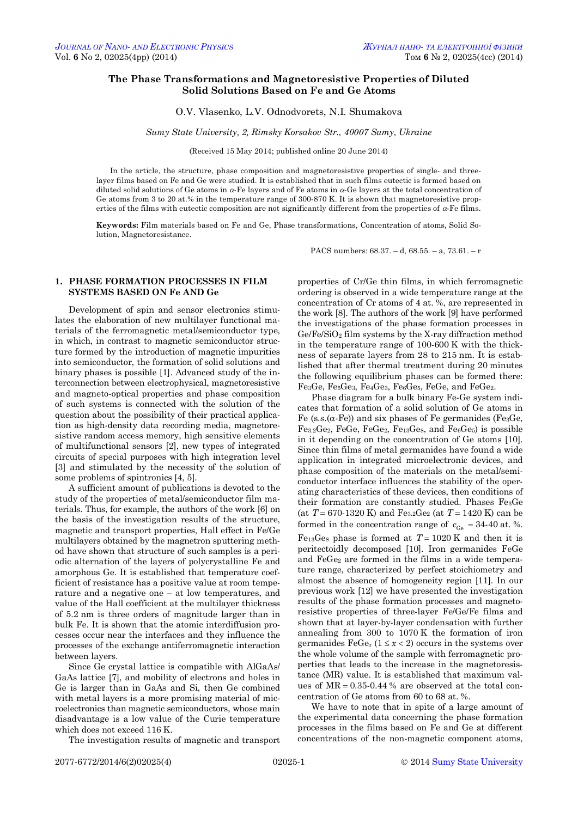# **The Phase Transformations and Magnetoresistive Properties of Diluted Solid Solutions Based on Fe and Ge Atoms**

# O.V. Vlasenko, L.V. Odnodvorets, N.I. Shumakova

*Sumy State University, 2, Rimsky Korsakov Str., 40007 Sumy, Ukraine*

#### (Received 15 May 2014; published online 20 June 2014)

In the article, the structure, phase composition and magnetoresistive properties of single- and threelayer films based on Fe and Ge were studied. It is established that in such films eutectic is formed based on diluted solid solutions of Ge atoms in  $\alpha$ -Fe layers and of Fe atoms in  $\alpha$ -Ge layers at the total concentration of Ge atoms from 3 to 20 at.% in the temperature range of 300-870 K. It is shown that magnetoresistive properties of the films with eutectic composition are not significantly different from the properties of  $\alpha$ -Fe films.

**Keywords:** Film materials based on Fe and Ge, Phase transformations, Concentration of atoms, Solid Solution, Magnetoresistance.

PACS numbers: 68.37. – d, 68.55. – a, 73.61. – r

# **1. PHASE FORMATION PROCESSES IN FILM SYSTEMS BASED ON Fe AND Ge**

Development of spin and sensor electronics stimulates the elaboration of new multilayer functional materials of the ferromagnetic metal/semiconductor type, in which, in contrast to magnetic semiconductor structure formed by the introduction of magnetic impurities into semiconductor, the formation of solid solutions and binary phases is possible [1]. Advanced study of the interconnection between electrophysical, magnetoresistive and magneto-optical properties and phase composition of such systems is connected with the solution of the question about the possibility of their practical application as high-density data recording media, magnetoresistive random access memory, high sensitive elements of multifunctional sensors [2], new types of integrated circuits of special purposes with high integration level [3] and stimulated by the necessity of the solution of some problems of spintronics [4, 5].

A sufficient amount of publications is devoted to the study of the properties of metal/semiconductor film materials. Thus, for example, the authors of the work [6] on the basis of the investigation results of the structure, magnetic and transport properties, Hall effect in Fe/Ge multilayers obtained by the magnetron sputtering method have shown that structure of such samples is a periodic alternation of the layers of polycrystalline Fe and amorphous Ge. It is established that temperature coefficient of resistance has a positive value at room temperature and a negative one – at low temperatures, and value of the Hall coefficient at the multilayer thickness of 5.2 nm is three orders of magnitude larger than in bulk Fe. It is shown that the atomic interdiffusion processes occur near the interfaces and they influence the processes of the exchange antiferromagnetic interaction between layers.

Since Ge crystal lattice is compatible with AlGaAs/ GaAs lattice [7], and mobility of electrons and holes in Ge is larger than in GaAs and Si, then Ge combined with metal layers is a more promising material of microelectronics than magnetic semiconductors, whose main disadvantage is a low value of the Curie temperature which does not exceed 116 K.

The investigation results of magnetic and transport

properties of Cr/Ge thin films, in which ferromagnetic ordering is observed in a wide temperature range at the concentration of Cr atoms of 4 at. %, are represented in the work [8]. The authors of the work [9] have performed the investigations of the phase formation processes in Ge/Fe/SiO2 film systems by the X-ray diffraction method in the temperature range of 100-600 K with the thickness of separate layers from 28 to 215 nm. It is established that after thermal treatment during 20 minutes the following equilibrium phases can be formed there: Fe3Ge, Fe5Ge3, Fe4Ge3, Fe6Ge5, FeGe, and FeGe2.

Phase diagram for a bulk binary Fe-Ge system indicates that formation of a solid solution of Ge atoms in Fe (s.s. $(\alpha$ -Fe)) and six phases of Fe germanides (Fe<sub>3</sub>Ge, Fе3.2Gе2, FеGе, FеGе2, Fе13Gе8, and Fе6Gе5) is possible in it depending on the concentration of Ge atoms [10]. Since thin films of metal germanides have found a wide application in integrated microelectronic devices, and phase composition of the materials on the metal/semiconductor interface influences the stability of the operating characteristics of these devices, then conditions of their formation are constantly studied. Phases Fe3Ge (at *T* = 670-1320 K) and Fe3.2Ge2 (at *Т* = 1420 K) can be formed in the concentration range of  $c_{\text{Ge}} = 34-40$  at. %. Fe<sub>13</sub>Ges phase is formed at  $T = 1020$  K and then it is peritectoidly decomposed [10]. Iron germanides FеGе and FeGe<sub>2</sub> are formed in the films in a wide temperature range, characterized by perfect stoichiometry and almost the absence of homogeneity region [11]. In our previous work [12] we have presented the investigation results of the phase formation processes and magnetoresistive properties of three-layer Fe/Ge/Fe films and shown that at layer-by-layer condensation with further annealing from 300 to 1070 K the formation of iron germanides  $\text{FeGe}_x$  ( $1 \leq x < 2$ ) occurs in the systems over the whole volume of the sample with ferromagnetic properties that leads to the increase in the magnetoresistance (MR) value. It is established that maximum values of MR = 0.35-0.44 % are observed at the total concentration of Ge atoms from 60 to 68 at. %.

We have to note that in spite of a large amount of the experimental data concerning the phase formation processes in the films based on Fe and Ge at different concentrations of the non-magnetic component atoms,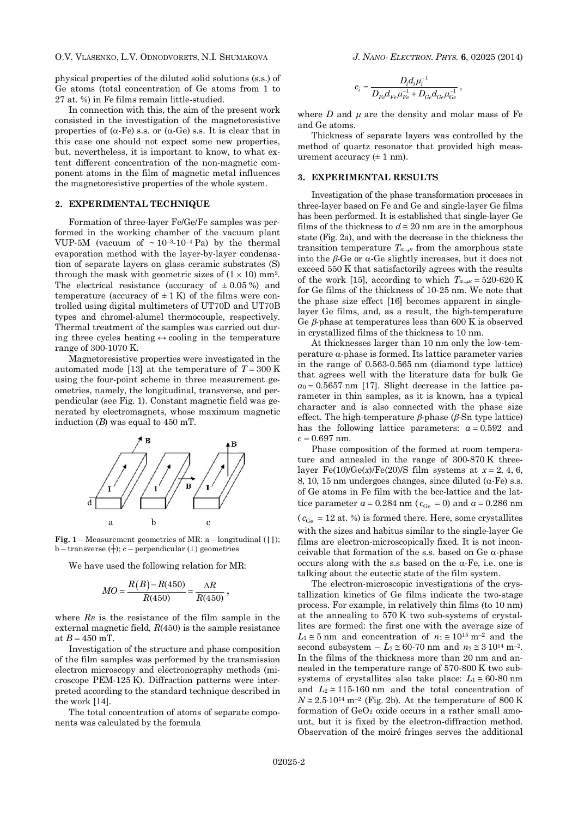O.V. VLASENKO, L.V. ODNODVORETS, N.I. SHUMAKOVA *J. NANO- ELECTRON. PHYS.* **6**, 02025 (2014)

physical properties of the diluted solid solutions (s.s.) of Ge atoms (total concentration of Ge atoms from 1 to 27 at. %) in Fe films remain little-studied.

In connection with this, the aim of the present work consisted in the investigation of the magnetoresistive properties of  $(\alpha$ -Fe) s.s. or  $(\alpha$ -Ge) s.s. It is clear that in this case one should not expect some new properties, but, nevertheless, it is important to know, to what extent different concentration of the non-magnetic component atoms in the film of magnetic metal influences the magnetoresistive properties of the whole system.

## **2. EXPERIMENTAL TECHNIQUE**

Formation of three-layer Fe/Ge/Fe samples was performed in the working chamber of the vacuum plant VUP-5M (vacuum of  $\sim 10^{-3}$ -10<sup>-4</sup> Pa) by the thermal evaporation method with the layer-by-layer condensation of separate layers on glass ceramic substrates (S) through the mask with geometric sizes of  $(1 \times 10)$  mm<sup>2</sup>. The electrical resistance (accuracy of  $\pm 0.05\%$ ) and temperature (accuracy of  $\pm$  1 K) of the films were controlled using digital multimeters of UT70D and UT70В types and chromel-alumel thermocouple, respectively. Thermal treatment of the samples was carried out during three cycles heating  $\leftrightarrow$  cooling in the temperature range of 300-1070 K.

Magnetoresistive properties were investigated in the automated mode [13] at the temperature of  $T = 300$  K using the four-point scheme in three measurement geometries, namely, the longitudinal, transverse, and perpendicular (see Fig. 1). Constant magnetic field was generated by electromagnets, whose maximum magnetic induction (*B*) was equal to 450 mT.



**Fig. 1** – Measurement geometries of MR: a – longitudinal (**||**); b – transverse  $(+)$ ; c – perpendicular  $( \perp )$  geometries

We have used the following relation for MR:

$$
MO = \frac{R(B) - R(450)}{R(450)} = \frac{\Delta R}{R(450)},
$$

where *RB* is the resistance of the film sample in the external magnetic field, *R*(450) is the sample resistance at  $B = 450$  mT.

Investigation of the structure and phase composition of the film samples was performed by the transmission electron microscopy and electronography methods (microscope PEM-125 K). Diffraction patterns were interpreted according to the standard technique described in the work [14].

The total concentration of atoms of separate components was calculated by the formula

$$
c_i = \frac{D_i d_i \mu_i^{-1}}{D_{Fe} d_{Fe} \mu_{Fe}^{-1} + D_{Ge} d_{Ge} \mu_{Ge}^{-1}} \ ,
$$

where  $D$  and  $\mu$  are the density and molar mass of Fe and Ge atoms.

Thickness of separate layers was controlled by the method of quartz resonator that provided high measurement accuracy  $(\pm 1 \text{ nm})$ .

## **3. EXPERIMENTAL RESULTS**

Investigation of the phase transformation processes in three-layer based on Fe and Ge and single-layer Ge films has been performed. It is established that single-layer Ge films of the thickness to  $d \approx 20$  nm are in the amorphous state (Fig. 2a), and with the decrease in the thickness the transition temperature  $T_{a\rightarrow k}$  from the amorphous state into the  $\beta$ -Ge or  $\alpha$ -Ge slightly increases, but it does not exceed 550 K that satisfactorily agrees with the results of the work [15], according to which  $T_{a\rightarrow k} = 520{\text{--}}620 \text{ K}$ for Ge films of the thickness of 10-25 nm. We note that the phase size effect [16] becomes apparent in singlelayer Ge films, and, as a result, the high-temperature Ge  $\beta$ -phase at temperatures less than 600 K is observed in crystallized films of the thickness to 10 nm.

At thicknesses larger than 10 nm only the low-temperature  $\alpha$ -phase is formed. Its lattice parameter varies in the range of 0.563-0.565 nm (diamond type lattice) that agrees well with the literature data for bulk Ge  $a_0 = 0.5657$  nm [17]. Slight decrease in the lattice parameter in thin samples, as it is known, has a typical character and is also connected with the phase size effect. The high-temperature  $\beta$ -phase ( $\beta$ -Sn type lattice) has the following lattice parameters:  $a = 0.592$  and *с* = 0.697 nm.

Phase composition of the formed at room temperature and annealed in the range of 300-870 K threelayer Fe(10)/Ge(*x*)/Fe(20)/S film systems at  $x = 2, 4, 6$ , 8, 10, 15 nm undergoes changes, since diluted  $(\alpha$ -Fe) s.s. of Ge atoms in Fe film with the bcc-lattice and the lattice parameter  $a = 0.284$  nm ( $c_{\text{Ge}} = 0$ ) and  $a = 0.286$  nm  $(c_{\text{Ge}} = 12 \text{ at. } \%)$  is formed there. Here, some crystallites with the sizes and habitus similar to the single-layer Ge films are electron-microscopically fixed. It is not inconceivable that formation of the s.s. based on Ge  $\alpha$ -phase occurs along with the s.s based on the  $\alpha$ -Fe, i.e. one is talking about the eutectic state of the film system.

The electron-microscopic investigations of the crystallization kinetics of Ge films indicate the two-stage process. For example, in relatively thin films (to 10 nm) at the annealing to 570 K two sub-systems of crystallites are formed: the first one with the average size of  $L_1 \approx 5$  nm and concentration of  $n_1 \approx 10^{15}$  m<sup>-2</sup> and the second subsystem  $-L_2 \approx 60-70$  nm and  $n_2 \approx 3.10^{14}$  m<sup>-2</sup>. In the films of the thickness more than 20 nm and annealed in the temperature range of 570-800 K two subsystems of crystallites also take place:  $L_1 \approx 60-80$  nm and  $L_2 \approx 115-160$  nm and the total concentration of  $N \approx 2.5 \cdot 10^{14}$  m<sup>-2</sup> (Fig. 2b). At the temperature of 800 K formation of  $GeO<sub>2</sub>$  oxide occurs in a rather small amount, but it is fixed by the electron-diffraction method. Observation of the moiré fringes serves the additional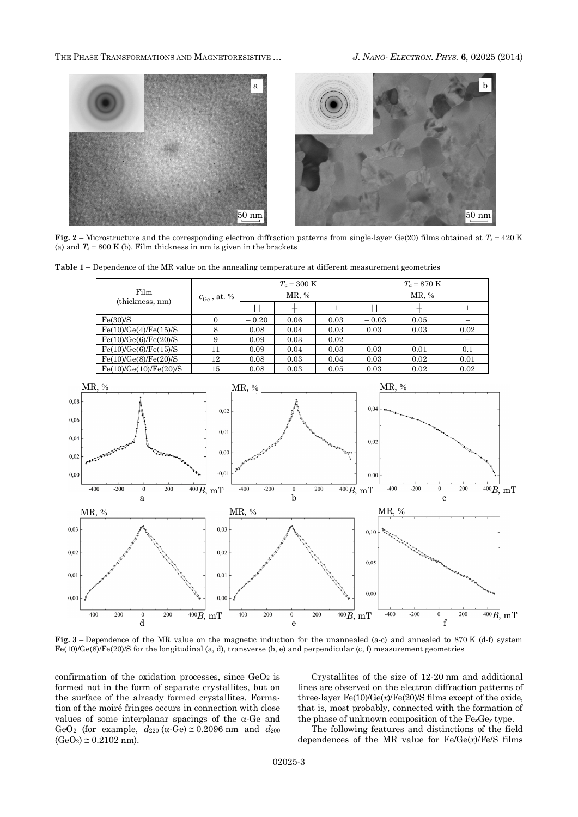THE PHASE TRANSFORMATIONS AND MAGNETORESISTIVE … *J. NANO- ELECTRON. PHYS.* **6**, 02025 (2014)



**Fig. 2** – Microstructure and the corresponding electron diffraction patterns from single-layer Ge(20) films obtained at  $T_s = 420$  K (a) and  $T_s = 800$  K (b). Film thickness in nm is given in the brackets



| Film<br>(thickness, nm) | $c_{\rm Ge}$ , at. % | $T_a = 300 \text{ K}$ |      |      | $T_a = 870 \text{ K}$ |      |      |
|-------------------------|----------------------|-----------------------|------|------|-----------------------|------|------|
|                         |                      | MR, %                 |      |      | MR, %                 |      |      |
|                         |                      |                       |      |      |                       |      |      |
| Fe(30)/S                |                      | $-0.20$               | 0.06 | 0.03 | $-0.03$               | 0.05 |      |
| Fe(10)/Ge(4)/Fe(15)/S   |                      | 0.08                  | 0.04 | 0.03 | 0.03                  | 0.03 | 0.02 |
| Fe(10)/Ge(6)/Fe(20)/S   |                      | 0.09                  | 0.03 | 0.02 |                       |      |      |
| Fe(10)/Ge(6)/Fe(15)/S   | 11                   | 0.09                  | 0.04 | 0.03 | 0.03                  | 0.01 | 0.1  |
| Fe(10)/Ge(8)/Fe(20)/S   | 12                   | 0.08                  | 0.03 | 0.04 | 0.03                  | 0.02 | 0.01 |
| Fe(10)/Ge(10)/Fe(20)/S  | 15                   | 0.08                  | 0.03 | 0.05 | 0.03                  | 0.02 | 0.02 |



**Fig. 3** – Dependence of the MR value on the magnetic induction for the unannealed (a-c) and annealed to 870 K (d-f) system Fe(10)/Ge(8)/Fe(20)/S for the longitudinal (a, d), transverse (b, e) and perpendicular (c, f) measurement geometries

confirmation of the oxidation processes, since  $GeO<sub>2</sub>$  is formed not in the form of separate crystallites, but on the surface of the already formed crystallites. Formation of the moiré fringes occurs in connection with close values of some interplanar spacings of the  $\alpha$ -Ge and GeO<sub>2</sub> (for example,  $d_{220}$  ( $\alpha$ -Ge)  $\approx$  0.2096 nm and  $d_{200}$  $(GeO<sub>2</sub>) \approx 0.2102$  nm).

Crystallites of the size of 12-20 nm and additional lines are observed on the electron diffraction patterns of three-layer Fe(10)/Ge(*х*)/Fe(20)/S films except of the oxide, that is, most probably, connected with the formation of the phase of unknown composition of the Fe*x*Ge*y* type.

The following features and distinctions of the field dependences of the MR value for Fe/Ge(*x*)/Fe/S films